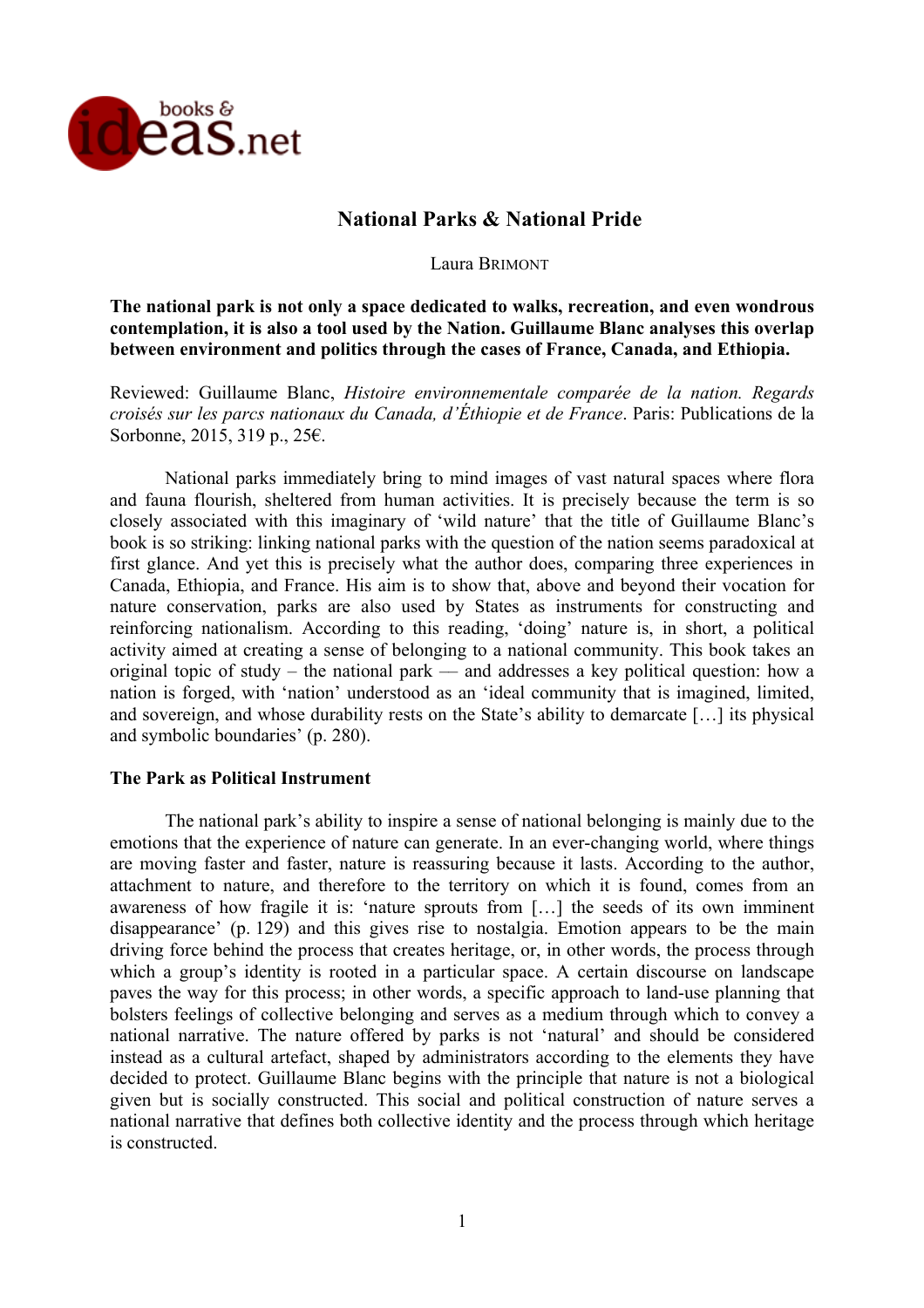

# **National Parks & National Pride**

Laura BRIMONT

## **The national park is not only a space dedicated to walks, recreation, and even wondrous contemplation, it is also a tool used by the Nation. Guillaume Blanc analyses this overlap between environment and politics through the cases of France, Canada, and Ethiopia.**

Reviewed: Guillaume Blanc, *Histoire environnementale comparée de la nation. Regards croisés sur les parcs nationaux du Canada, d'Éthiopie et de France*. Paris: Publications de la Sorbonne, 2015, 319 p., 25€.

National parks immediately bring to mind images of vast natural spaces where flora and fauna flourish, sheltered from human activities. It is precisely because the term is so closely associated with this imaginary of 'wild nature' that the title of Guillaume Blanc's book is so striking: linking national parks with the question of the nation seems paradoxical at first glance. And yet this is precisely what the author does, comparing three experiences in Canada, Ethiopia, and France. His aim is to show that, above and beyond their vocation for nature conservation, parks are also used by States as instruments for constructing and reinforcing nationalism. According to this reading, 'doing' nature is, in short, a political activity aimed at creating a sense of belonging to a national community. This book takes an original topic of study – the national park –– and addresses a key political question: how a nation is forged, with 'nation' understood as an 'ideal community that is imagined, limited, and sovereign, and whose durability rests on the State's ability to demarcate […] its physical and symbolic boundaries' (p. 280).

## **The Park as Political Instrument**

The national park's ability to inspire a sense of national belonging is mainly due to the emotions that the experience of nature can generate. In an ever-changing world, where things are moving faster and faster, nature is reassuring because it lasts. According to the author, attachment to nature, and therefore to the territory on which it is found, comes from an awareness of how fragile it is: 'nature sprouts from […] the seeds of its own imminent disappearance' (p. 129) and this gives rise to nostalgia. Emotion appears to be the main driving force behind the process that creates heritage, or, in other words, the process through which a group's identity is rooted in a particular space. A certain discourse on landscape paves the way for this process; in other words, a specific approach to land-use planning that bolsters feelings of collective belonging and serves as a medium through which to convey a national narrative. The nature offered by parks is not 'natural' and should be considered instead as a cultural artefact, shaped by administrators according to the elements they have decided to protect. Guillaume Blanc begins with the principle that nature is not a biological given but is socially constructed. This social and political construction of nature serves a national narrative that defines both collective identity and the process through which heritage is constructed.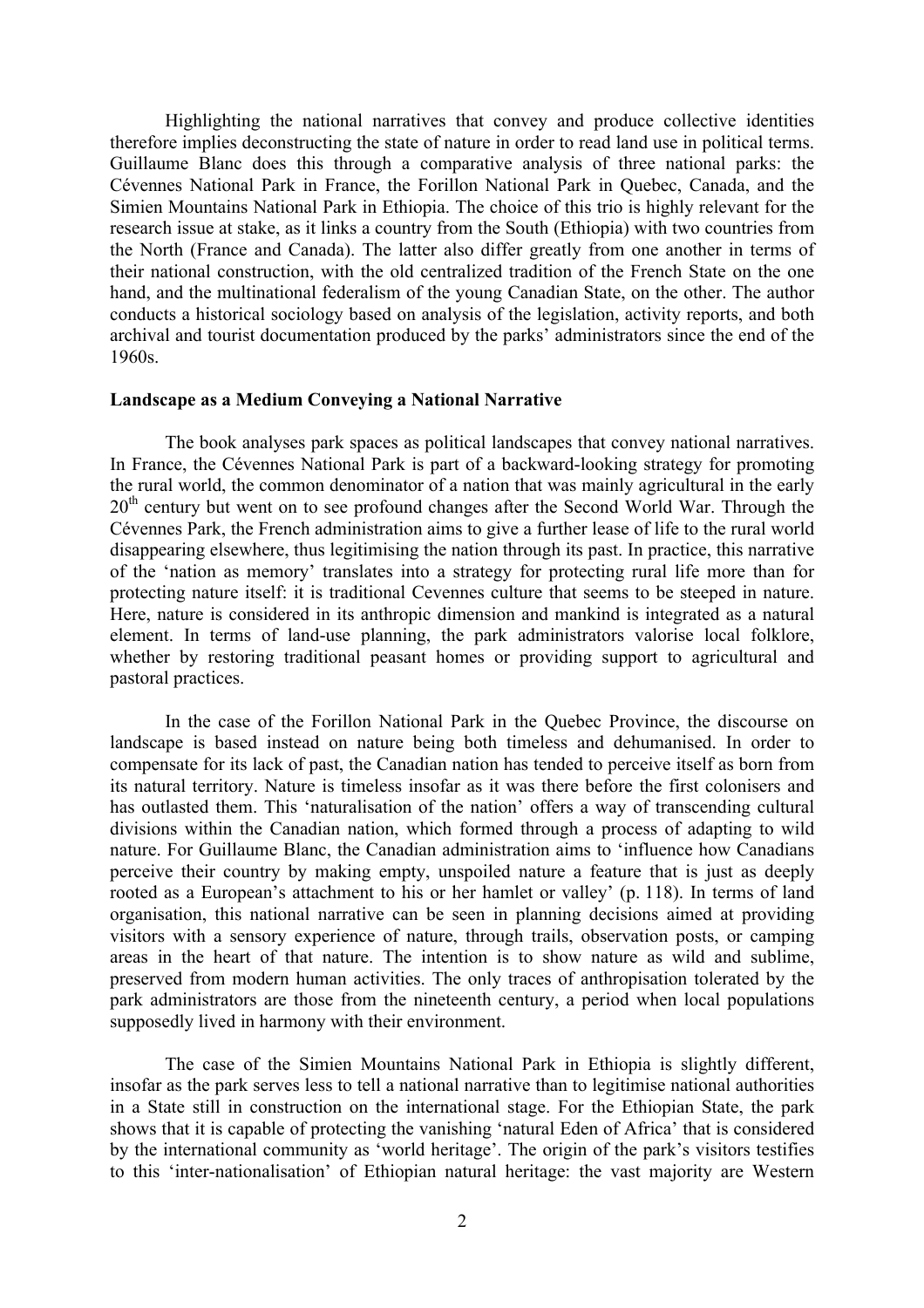Highlighting the national narratives that convey and produce collective identities therefore implies deconstructing the state of nature in order to read land use in political terms. Guillaume Blanc does this through a comparative analysis of three national parks: the Cévennes National Park in France, the Forillon National Park in Quebec, Canada, and the Simien Mountains National Park in Ethiopia. The choice of this trio is highly relevant for the research issue at stake, as it links a country from the South (Ethiopia) with two countries from the North (France and Canada). The latter also differ greatly from one another in terms of their national construction, with the old centralized tradition of the French State on the one hand, and the multinational federalism of the young Canadian State, on the other. The author conducts a historical sociology based on analysis of the legislation, activity reports, and both archival and tourist documentation produced by the parks' administrators since the end of the 1960s.

#### **Landscape as a Medium Conveying a National Narrative**

The book analyses park spaces as political landscapes that convey national narratives. In France, the Cévennes National Park is part of a backward-looking strategy for promoting the rural world, the common denominator of a nation that was mainly agricultural in the early 20<sup>th</sup> century but went on to see profound changes after the Second World War. Through the Cévennes Park, the French administration aims to give a further lease of life to the rural world disappearing elsewhere, thus legitimising the nation through its past. In practice, this narrative of the 'nation as memory' translates into a strategy for protecting rural life more than for protecting nature itself: it is traditional Cevennes culture that seems to be steeped in nature. Here, nature is considered in its anthropic dimension and mankind is integrated as a natural element. In terms of land-use planning, the park administrators valorise local folklore, whether by restoring traditional peasant homes or providing support to agricultural and pastoral practices.

In the case of the Forillon National Park in the Quebec Province, the discourse on landscape is based instead on nature being both timeless and dehumanised. In order to compensate for its lack of past, the Canadian nation has tended to perceive itself as born from its natural territory. Nature is timeless insofar as it was there before the first colonisers and has outlasted them. This 'naturalisation of the nation' offers a way of transcending cultural divisions within the Canadian nation, which formed through a process of adapting to wild nature. For Guillaume Blanc, the Canadian administration aims to 'influence how Canadians perceive their country by making empty, unspoiled nature a feature that is just as deeply rooted as a European's attachment to his or her hamlet or valley' (p. 118). In terms of land organisation, this national narrative can be seen in planning decisions aimed at providing visitors with a sensory experience of nature, through trails, observation posts, or camping areas in the heart of that nature. The intention is to show nature as wild and sublime, preserved from modern human activities. The only traces of anthropisation tolerated by the park administrators are those from the nineteenth century, a period when local populations supposedly lived in harmony with their environment.

The case of the Simien Mountains National Park in Ethiopia is slightly different, insofar as the park serves less to tell a national narrative than to legitimise national authorities in a State still in construction on the international stage. For the Ethiopian State, the park shows that it is capable of protecting the vanishing 'natural Eden of Africa' that is considered by the international community as 'world heritage'. The origin of the park's visitors testifies to this 'inter-nationalisation' of Ethiopian natural heritage: the vast majority are Western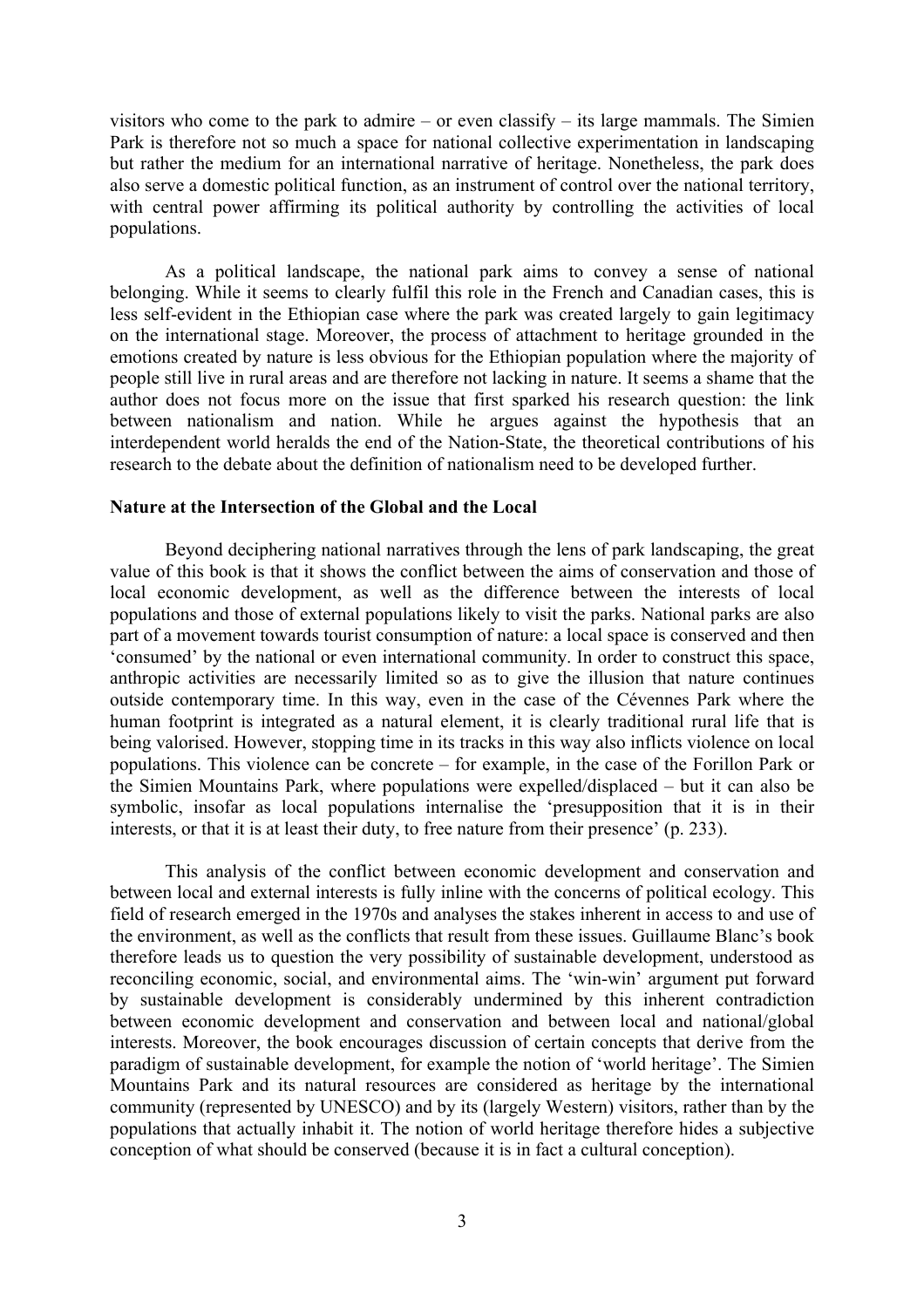visitors who come to the park to admire – or even classify – its large mammals. The Simien Park is therefore not so much a space for national collective experimentation in landscaping but rather the medium for an international narrative of heritage. Nonetheless, the park does also serve a domestic political function, as an instrument of control over the national territory, with central power affirming its political authority by controlling the activities of local populations.

As a political landscape, the national park aims to convey a sense of national belonging. While it seems to clearly fulfil this role in the French and Canadian cases, this is less self-evident in the Ethiopian case where the park was created largely to gain legitimacy on the international stage. Moreover, the process of attachment to heritage grounded in the emotions created by nature is less obvious for the Ethiopian population where the majority of people still live in rural areas and are therefore not lacking in nature. It seems a shame that the author does not focus more on the issue that first sparked his research question: the link between nationalism and nation. While he argues against the hypothesis that an interdependent world heralds the end of the Nation-State, the theoretical contributions of his research to the debate about the definition of nationalism need to be developed further.

#### **Nature at the Intersection of the Global and the Local**

Beyond deciphering national narratives through the lens of park landscaping, the great value of this book is that it shows the conflict between the aims of conservation and those of local economic development, as well as the difference between the interests of local populations and those of external populations likely to visit the parks. National parks are also part of a movement towards tourist consumption of nature: a local space is conserved and then 'consumed' by the national or even international community. In order to construct this space, anthropic activities are necessarily limited so as to give the illusion that nature continues outside contemporary time. In this way, even in the case of the Cévennes Park where the human footprint is integrated as a natural element, it is clearly traditional rural life that is being valorised. However, stopping time in its tracks in this way also inflicts violence on local populations. This violence can be concrete – for example, in the case of the Forillon Park or the Simien Mountains Park, where populations were expelled/displaced – but it can also be symbolic, insofar as local populations internalise the 'presupposition that it is in their interests, or that it is at least their duty, to free nature from their presence' (p. 233).

This analysis of the conflict between economic development and conservation and between local and external interests is fully inline with the concerns of political ecology. This field of research emerged in the 1970s and analyses the stakes inherent in access to and use of the environment, as well as the conflicts that result from these issues. Guillaume Blanc's book therefore leads us to question the very possibility of sustainable development, understood as reconciling economic, social, and environmental aims. The 'win-win' argument put forward by sustainable development is considerably undermined by this inherent contradiction between economic development and conservation and between local and national/global interests. Moreover, the book encourages discussion of certain concepts that derive from the paradigm of sustainable development, for example the notion of 'world heritage'. The Simien Mountains Park and its natural resources are considered as heritage by the international community (represented by UNESCO) and by its (largely Western) visitors, rather than by the populations that actually inhabit it. The notion of world heritage therefore hides a subjective conception of what should be conserved (because it is in fact a cultural conception).